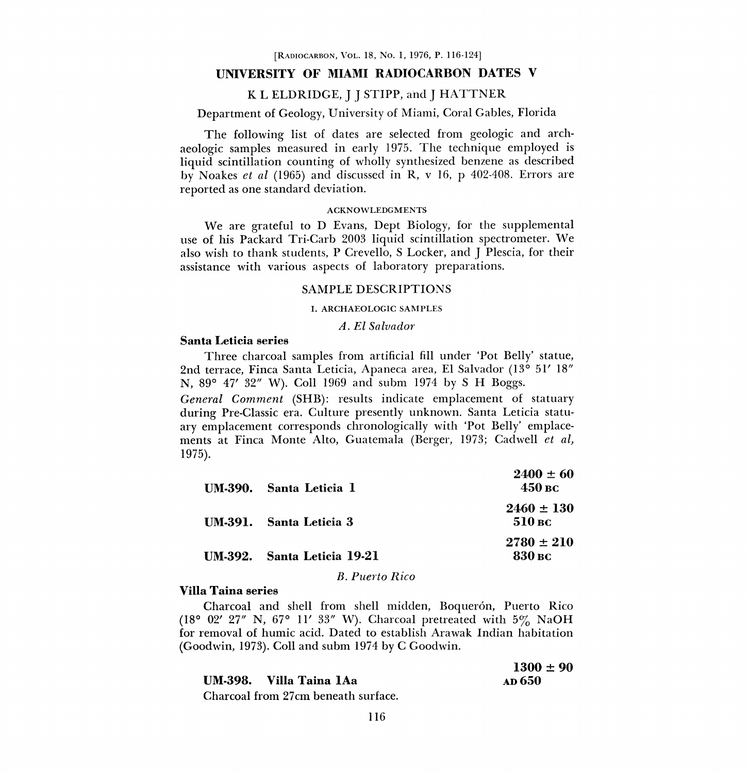#### UNIVERSITY OF MIAMI RADIOCARBON DATES V

#### <sup>K</sup>L ELDRIDGE, J J STIPP, and J HATTNER

## Department of Geology, University of Miami, Coral Gables, Florida

The following list of dates are selected from geologic and archaeologic samples measured in early 1975. The technique employed is liquid scintillation counting of wholly synthesized benzene as described by Noakes et al (1965) and discussed in R, v 16, p 402-408. Errors are reported as one standard deviation.

#### ACKNOWLEDGMENTS

We are grateful to D Evans, Dept Biology, for the supplemental use of his Packard Tri-Garb 2003 liquid scintillation spectrometer. We also wish to thank students, P Crevello, S Locker, and J Plescia, for their assistance with various aspects of laboratory preparations.

#### SAMPLE DESCRIPTIONS

#### I. ARCHAEOLOGIC SAMPLES

A. El Salvador

#### Santa Leticia series

Three charcoal samples from artificial fill under `Pot Belly' statue, 2nd terrace, Finca Santa Leticia, Apaneca area, E1 Salvador (13° 51' 18" N, 89° 47' 32" W). Coil 1969 and subm 1974 by S H Boggs.

General Comment (SHB): results indicate emplacement of statuary during Pre-Classic era. Culture presently unknown. Santa Leticia statuary emplacement corresponds chronologically with `Pot Belly' emplacements at Finca Monte Alto, Guatemala (Berger, 1973; Cadwell et al, 1975).

| UM-390. Santa Leticia 1     | $2400 \pm 60$<br>450 вс  |
|-----------------------------|--------------------------|
| IM.391. Santa Leticia 3     | $2460 \pm 130$<br>510 вс |
| UM-392. Santa Leticia 19-21 | $2780 \pm 210$<br>830 вс |

#### B. Puerto Rico

#### Villa Taina series

Charcoal and shell from shell midden, Boquerón, Puerto Rico (18° 02' 27" N, 67° 11' 33" W). Charcoal pretreated with 5% NaOH for removal of humic acid. Dated to establish Arawak Indian habitation (Goodwin, 1973). Coil and subm 1974 by C Goodwin.

| $1300 \pm 90$ |  |
|---------------|--|
| ар 650        |  |

Charcoal from 27cm beneath surface.

UM-398. Villa Taina 1Aa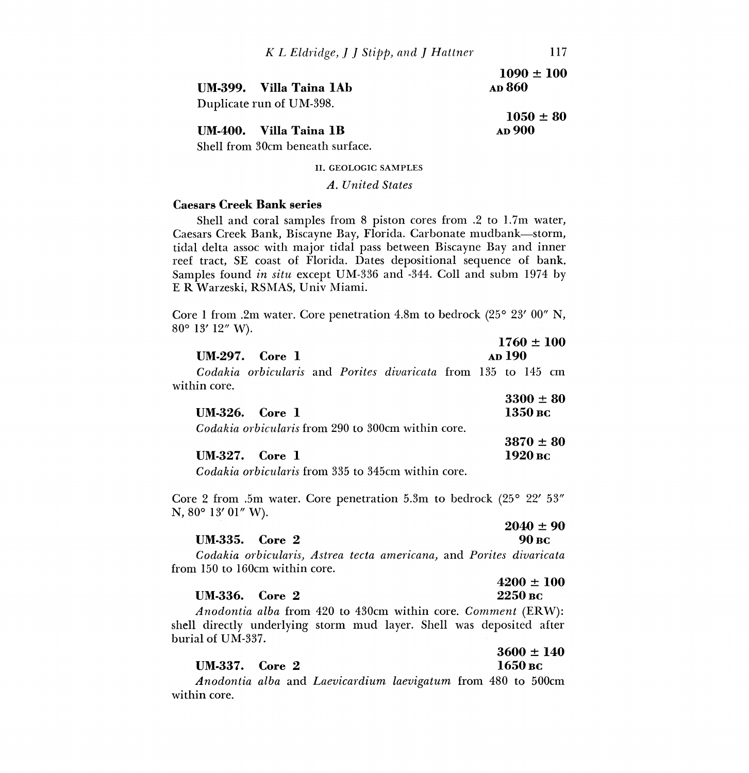|                          | $1090 \pm 100$ |  |  |
|--------------------------|----------------|--|--|
| UM-399. Villa Taina 1Ab  | <b>AD</b> 860  |  |  |
| Duplicate run of UM-398. |                |  |  |
|                          | $1050 \pm 80$  |  |  |

# UM-400. Villa Taina 1B AD 900

Shell from 30cm beneath surface.

II. GEOLOGIC SAMPLES

#### A. United States

### 'Caesars Creek Bank series

Shell and coral samples from 8 piston cores from .2 to 1.7m water, Caesars Creek Bank, Biscayne Bay, Florida. Carbonate mudbank-storm, tidal delta assoc with major tidal pass between Biscayne Bay and inner reef tract, SE coast of Florida. Dates depositional sequence of bank. Samples found in situ except UM-336 and -344. Coll and subm 1974 by E R Warzeski, RSMAS, Univ Miami.

Core 1 from .2m water. Core penetration 4.8m to bedrock  $(25^{\circ} 23' 00'' N,$ 80° 13' 12" W).

|              | $UM-297.$ Core 1                                              |  |  | <b>AD</b> 190 | $1760 \pm 100$ |  |
|--------------|---------------------------------------------------------------|--|--|---------------|----------------|--|
| within core. | Codakia orbicularis and Porites divaricata from 135 to 145 cm |  |  |               |                |  |

|                  |                      |  | $3300 \pm 80$ |
|------------------|----------------------|--|---------------|
| $UM-326.$ Core 1 |                      |  | 1350 вс       |
|                  | a iii ii iic aan aan |  |               |

Codakia orbicularis from 290 to 300cm within core.  $3870 \pm 80$ 

| <b>UM-327.</b> Core 1 | 1920 вс |
|-----------------------|---------|
|                       |         |

Codakia orbicularis from 335 to 345cm within core.

Core 2 from .5m water. Core penetration 5.3m to bedrock (25° 22' 53" N, 80° 13' 01" W).

#### UM-335. Core 2

# $2040 \pm 90$ <br>90 BC

 $4200 \pm 100$ 

Codakia orb icularis, Astrea tecta americana, and Porites divaricata from 150 to 160cm within core.

#### UM-336. Core 2 2250 BC

Anodontia alba from 420 to 430cm within core. Comment (ERW): shell directly underlying storm mud layer. Shell was deposited after burial of UM-337.

#### UM-337. Core 2 1650 BC

# $3600 \pm 140$

Anodontia alba and Laevicardium laevigatum from 480 to 500cm within core.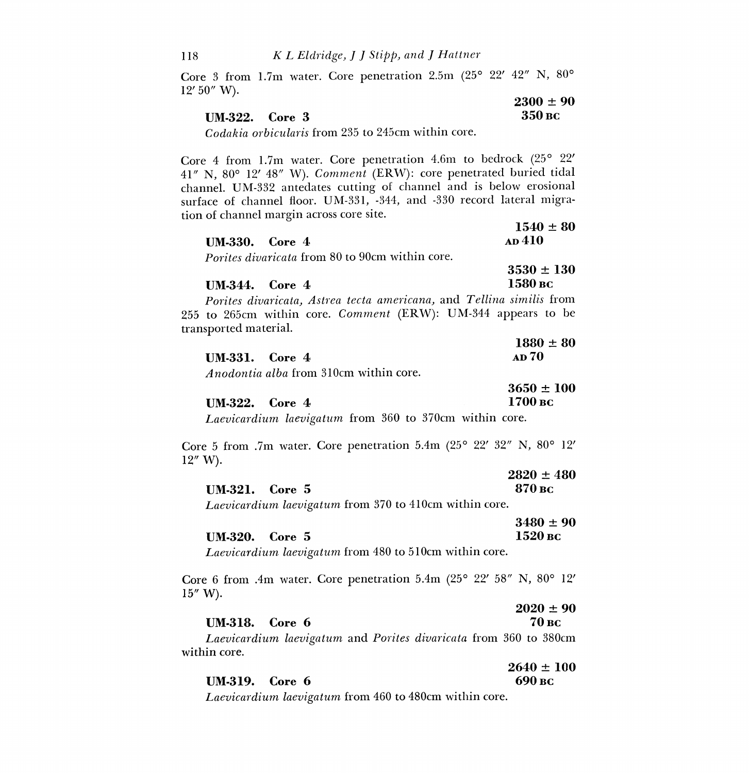Core 3 from 1.7m water. Core penetration 2.5m (25° 22' 42" N, 80° 12' 50" W).

|                                                                                                                                                                                                                                                                                                                                                                                                                       | $2300 \pm 90$ |
|-----------------------------------------------------------------------------------------------------------------------------------------------------------------------------------------------------------------------------------------------------------------------------------------------------------------------------------------------------------------------------------------------------------------------|---------------|
| <b>UM-322.</b> Core 3                                                                                                                                                                                                                                                                                                                                                                                                 | -350 вс       |
| $\alpha$ , $\alpha$ , $\beta$ , $\alpha$ , $\alpha$ , $\alpha$ , $\alpha$ , $\alpha$ , $\alpha$ , $\alpha$ , $\alpha$ , $\alpha$ , $\alpha$ , $\alpha$ , $\alpha$ , $\alpha$ , $\alpha$ , $\alpha$ , $\alpha$ , $\alpha$ , $\alpha$ , $\alpha$ , $\alpha$ , $\alpha$ , $\alpha$ , $\alpha$ , $\alpha$ , $\alpha$ , $\alpha$ , $\alpha$ , $\alpha$ , $\alpha$ , $\alpha$ , $\alpha$ , $\alpha$ , $\alpha$ , $\alpha$ , |               |

Codakia orbicularis from 235 to 245cm within core.

Core 4 from 1.7m water. Core penetration 4.6m to bedrock (25° 22' 41" N, 80° 12' 48" W). Comment (ERW): core penetrated buried tidal channel. UM-332 antedates cutting of channel and is below erosional surface of channel floor. UM-331, -344, and -330 record lateral migration of channel margin across core site.

| $UM.330.$ Core 4                                       | <b>AD</b> 410  |
|--------------------------------------------------------|----------------|
| <i>Porites divaricata</i> from 80 to 90cm within core. |                |
|                                                        | $3530 \pm 130$ |

| <b>UM-344.</b> Core 4 | 1580 вс |
|-----------------------|---------|

Porites divaricata, Astrea tecta americana, and Tellina similis from 255 to 265cm within core. Comment (ERW): UM-344 appears to be transported material.

|                       | $1880 \pm 80$ |
|-----------------------|---------------|
| <b>UM-331.</b> Core 4 | <b>AD 70</b>  |

Anodontia alba from 310cm within core.

UM-318. Core 6

|                | $3650 \pm 100$ |
|----------------|----------------|
| UM-322. Core 4 | 1700 вс        |

Laevicardium laevigatum from 360 to 370cm within core.

Core 5 from .7m water. Core penetration 5.4m (25° 22' 32" N, 80° 12' 12" W).

|                       | $2820 \pm 480$ |
|-----------------------|----------------|
| <b>UM-321.</b> Core 5 | 870 вс         |

Laevicardium laevigatum from 370 to 410cm within core.

|                  | $3480 \pm 90$ |
|------------------|---------------|
| $UM-320.$ Core 5 | 1520 вс       |

Laevicardium laevigatum from 480 to 510cm within core.

Core 6 from .4m water. Core penetration 5.4m (25° 22' 58" N, 80° 12'  $15''$  W).

| $2020 \pm 90$ |
|---------------|
| 70 вс         |

 $1540 \pm 80$ 

Laevicardium laevigatum and Ponies divaricata from 360 to 380cm within core.

 $2640 \pm 100$ UM-319. Core  $6^{90}$  BC

Laevicardium laevigatum from 460 to 480cm within core.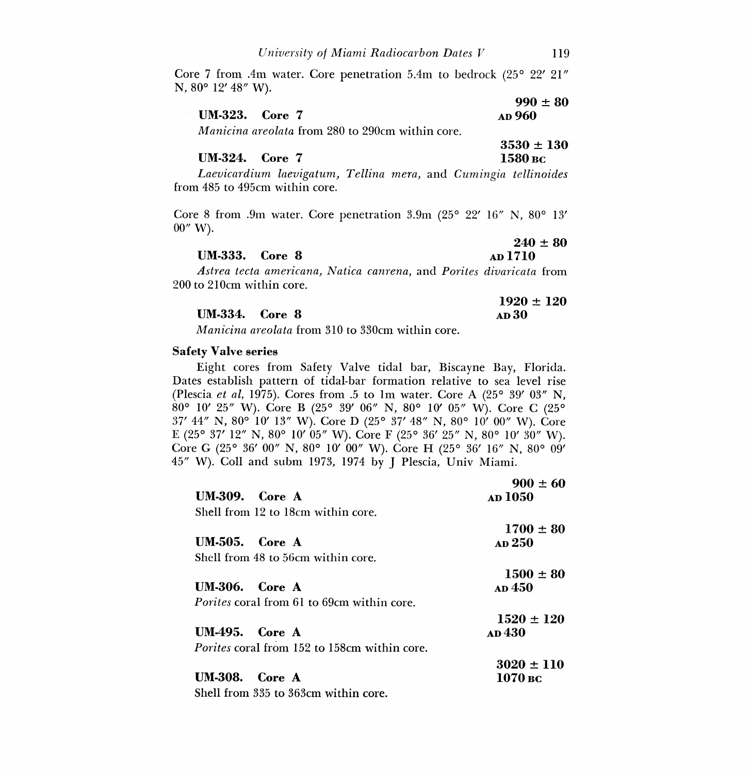Core 7 from .4m water. Core penetration 5.4m to bedrock (25° 22' 21" N, 80° 12' 48" W).

|                                                         | $990 \pm 80$  |
|---------------------------------------------------------|---------------|
| <b>UM-323.</b> Core 7                                   | <b>AD</b> 960 |
| <i>Manicing graplata from 980 to 900cm within corp.</i> |               |

Manicina areolata from 280 to 290cm within core.

 $3530 \pm 130$ <br>1580 вс UM-324. Core 7

Laevicardium laevigatum, Tellina mera, and Cumingia tellinoides from 485 to 495cm within core.

Core 8 from .9m water. Core penetration 3.9m (25° 22' 16" N, 80° 13' 00" W).

|                       | $240 \pm 80$   |
|-----------------------|----------------|
| <b>UM-333.</b> Core 8 | <b>AD</b> 1710 |

Astrea tecta americana, Natica canrena, and Porites divaricata from 200 to 210cm within core.

|                       | $1920 \pm 120$ |
|-----------------------|----------------|
| <b>UM-334.</b> Core 8 | <b>AD30</b>    |

Manicina areolata from 310 to 330cm within core.

#### Safety valve series

Eight cores from Safety Valve tidal bar, Biscayne Bay, Florida. Dates establish pattern of tidal-bar formation relative to sea level rise (Plescia et al, 1975). Cores from .5 to 1m water. Core A  $(25^{\circ} 39' 03'' N,$ 80° 10' 25" W). Core B (25° 39' 06" N, 80° 10' 05" W). Core C (25° 37' 44" N, 80° 10' 13" W). Core D (25° 37' 48" N, 80° 10' 00" W). Core E (25° 37' 12" N, 80° 10' 05" W). Core F (25° 36' 25" N, 80° 10' 30" W). Core G (25° 36' 00" N, 80° 10' 00" W). Core H (25° 36' 16" N, 80° 09' 45" W). Coll and subm 1973, 1974 by J Plescia, Univ Miami.

|                                                     | $900 \pm 60$   |
|-----------------------------------------------------|----------------|
| $UM.309.$ Core A                                    | AD 1050        |
| Shell from 12 to 18cm within core.                  |                |
|                                                     | $1700 \pm 80$  |
| $UM-505.$ Core A                                    | AD 250         |
| Shell from 48 to 56cm within core.                  |                |
|                                                     | $1500 \pm 80$  |
| $UM-306.$ Core A                                    | <b>AD</b> 450  |
| <i>Porites</i> coral from 61 to 69cm within core.   |                |
|                                                     | $1520 \pm 120$ |
| <b>UM-495.</b> Core A                               | ар 430-        |
| <i>Porites</i> coral from 152 to 158cm within core. |                |
|                                                     | $3020 \pm 110$ |
| $UM-308.$ Core A                                    | 1070 вс        |
| Shell from 335 to 363cm within core.                |                |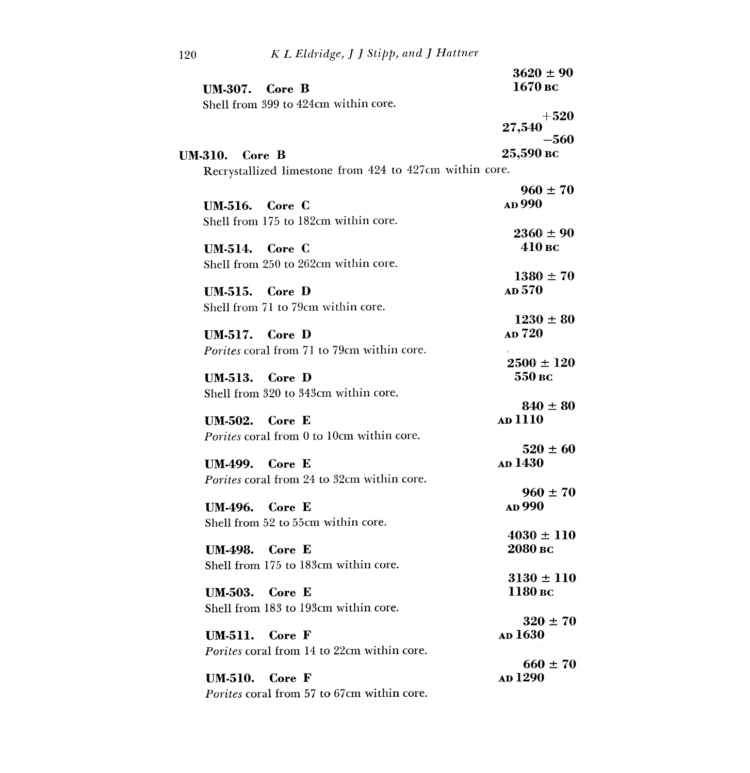|                                                         | $3620 \pm 90$  |
|---------------------------------------------------------|----------------|
| UM-307. Core B                                          | 1670 вс        |
| Shell from 399 to 424cm within core.                    |                |
|                                                         | $+520$         |
|                                                         | 27,540         |
|                                                         | $-560\,$       |
| UM-310. Core B                                          | 25,590 вс      |
| Recrystallized limestone from 424 to 427cm within core. |                |
|                                                         | $960 \pm 70$   |
| <b>UM-516.</b> Core C                                   | AD 990         |
| Shell from 175 to 182cm within core.                    |                |
|                                                         | $2360 \pm 90$  |
| <b>UM-514.</b> Core C                                   | 410 вс         |
| Shell from 250 to 262cm within core.                    |                |
|                                                         | $1380 \pm 70$  |
| <b>UM-515.</b> Core D                                   | <b>AD</b> 570  |
| Shell from 71 to 79cm within core.                      |                |
|                                                         | $1230 \pm 80$  |
| $UM.517.$ Core D                                        | AD 720         |
| Porites coral from 71 to 79cm within core.              |                |
|                                                         | $2500 \pm 120$ |
| $UM-513.$ Core D                                        | 550 вс         |
| Shell from 320 to 343cm within core.                    |                |
|                                                         | $840 \pm 80$   |
| $UM.502.$ Core E                                        | AD 1110        |
| Porites coral from 0 to 10cm within core.               |                |
|                                                         | $520 \pm 60$   |
| <b>UM-499.</b> Core E                                   | <b>AD</b> 1430 |
| Porites coral from 24 to 32cm within core.              |                |
|                                                         | $960 \pm 70$   |
| <b>UM-496.</b> Core E                                   | AD 990         |
| Shell from 52 to 55cm within core.                      |                |
|                                                         | $4030 \pm 110$ |
| <b>UM-498.</b> Core E                                   | 2080 вс        |
| Shell from 175 to 183cm within core.                    |                |
|                                                         | $3130 \pm 110$ |
| <b>UM-503.</b> Core E                                   | 1180 вс        |
| Shell from 183 to 193cm within core.                    |                |
|                                                         | $320 \pm 70$   |
| $UM-511.$ Core F                                        | <b>AD</b> 1630 |
| <i>Porites</i> coral from 14 to 22cm within core.       |                |
|                                                         | $660 \pm 70$   |
| Core F<br>UM-510.                                       | <b>AD</b> 1290 |
|                                                         |                |
| Porites coral from 57 to 67cm within core.              |                |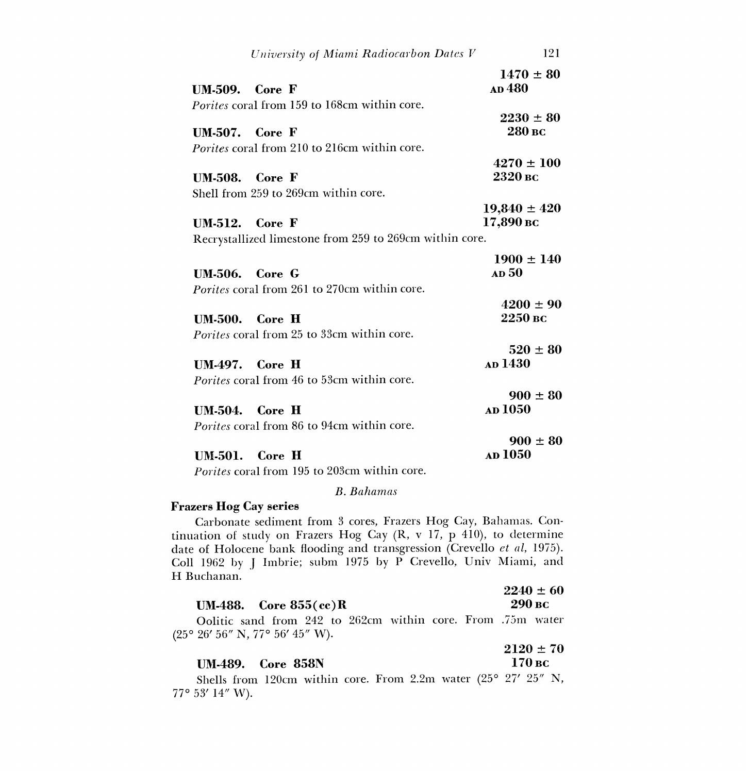|                       | University of Miami Radiocarbon Dates V                 | 121              |
|-----------------------|---------------------------------------------------------|------------------|
|                       |                                                         | $1470 \pm 80$    |
| UM-509.               | Core F                                                  | AD 480           |
|                       | <i>Porites</i> coral from 159 to 168cm within core.     |                  |
|                       |                                                         | $2230 \pm 80$    |
| $UM.507.$ Core F      |                                                         | 280 вс           |
|                       | <i>Porites</i> coral from 210 to 216cm within core.     |                  |
|                       |                                                         | $4270 \pm 100$   |
| <b>UM-508.</b> Core F |                                                         | 2320 вс          |
|                       | Shell from 259 to 269cm within core.                    |                  |
|                       |                                                         | $19,840 \pm 420$ |
| <b>UM-512.</b> Core F |                                                         | 17,890 вс        |
|                       |                                                         |                  |
|                       | Recrystallized limestone from 259 to 269cm within core. |                  |
|                       |                                                         | $1900 \pm 140$   |
|                       | <b>UM-506.</b> Core G                                   | AD <sub>50</sub> |
|                       | <i>Porites</i> coral from 261 to 270cm within core.     |                  |
|                       |                                                         | $4200 \pm 90$    |
|                       | <b>UM-500.</b> Core H                                   | $2250$ BC        |
|                       | <i>Porites</i> coral from 25 to 33cm within core.       |                  |
|                       |                                                         | $520 \pm 80$     |
|                       | $UM.497.$ Core H                                        | AD 1430          |
|                       |                                                         |                  |
|                       | <i>Porites</i> coral from 46 to 53cm within core.       |                  |
|                       |                                                         | $900 \pm 80$     |
|                       | $UM.504.$ Core H                                        | <b>AD</b> 1050   |
|                       | <i>Porites</i> coral from 86 to 94cm within core.       |                  |
|                       |                                                         | $900 \pm 80$     |
|                       | <b>UM-501.</b> Core H                                   | <b>AD</b> 1050   |
|                       |                                                         |                  |

Porites coral from 195 to 203cm within core.

## B. Bahamas

## Frazers Hog Cay series

Carbonate sediment from 3 cores, Frazers Hog Cay, Bahamas. Continuation of study on Frazers Hog Cay (R, v 17, p 410), to determine date of Holocene bank flooding and transgression (Crevello et al, 1975). Coll 1962 by J Imbrie; subm 1975 by P Crevello, Univ Miami, and H Buchanan.

|                                  | $2240 \pm 60$ |
|----------------------------------|---------------|
| <b>UM-488.</b> Core $855$ (cc) R | 290 вс        |

Oolitic sand from 242 to 262cm within core. From .75m water (25° 26' 56" N, 77° 56' 45" W).

UM-489. Core 858N

 $2120 \pm 70$ <br>170 вс

Shells from 120cm within core. From 2.2m water (25° 27' 25" N, 77° 53' 14" W).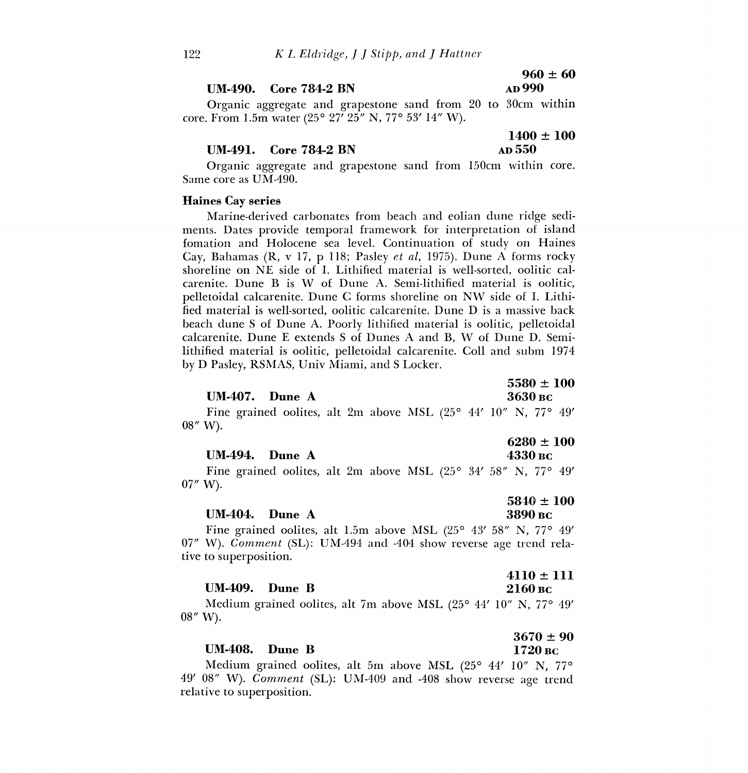#### $UM.490.$  Core  $784-2$  BN

# $960 \pm 60$ <br>AD 990

Organic aggregate and grapestone sand from 20 to 30cm within core. From 1.5m water (25° 27' 25" N, 77° 53' 14" W).

#### $UM-491.$  Core  $784-2$  BN  $AD 550$

 $1400 \pm 100$ 

Organic aggregate and grapestone sand from 150cm within core. Same core as UM-490.

#### Haines Cay series

Marine-derived carbonates from beach and eolian dune ridge sediments. Dates provide temporal framework for interpretation of island fomation and Holocene sea level. Continuation of study on Haines Cay, Bahamas (R, v 17, p 118; Pasley et al, 1975). Dune A forms rocky shoreline on NE side of I. Lithified material is well-sorted, oolitic calcarenite. Dune B is W of Dune A. Semi-lithified material is oolitic, pelletoidal calcarenite. Dune C forms shoreline on NW side of I. Lithified material is well-sorted, oolitic calcarenite. Dune D is a massive back beach dune S of Dune A. Poorly lithified material is oolitic, pelletoidal calcarenite. Dune E extends S of Dunes A and B, W of Dune D. Semilithified material is oolitic, pelletoidal calcarenite. Coll and subm 1974 by D Pasley, RSMAS, Univ Miami, and S Locker.

 $5580 \pm 100$ <br> $3630$  BC

Fine grained oolites, alt 2m above MSL (25° 44' 10" N, 77° 49' 08" W).

# $6280 \pm 100$ <br> $4330 \,\mathrm{bc}$

Fine grained oolites, alt 2m above MSL  $(25^{\circ}$  34' 58" N, 77° 49' 07" W).

#### $UM-404.$  Dune A

UM-407. Dune A

 $UM-494.$  Dune A

 $5840 \pm 100$ <br>3890 вс Fine grained oolites, alt 1.5m above MSL (25° 43' 58" N, 77° 49' 07" W). Comment (SL): UM-494 and -404 show reverse age trend relative to superposition,

## 4110 ± 111 UM-409. Dune B  $2160 \text{~pc}$

Medium grained oolites, alt 7m above MSL (25° 44' 10" N, 77° 49' 08" W).

# $3670 \pm 90$ UM-408. Dune B 1720 BC

Medium grained oolites, alt 5m above MSL (25° 44' 10" N, 77° 49' 08" W). Comment (SL): UM-409 and -408 show reverse age trend relative to superposition.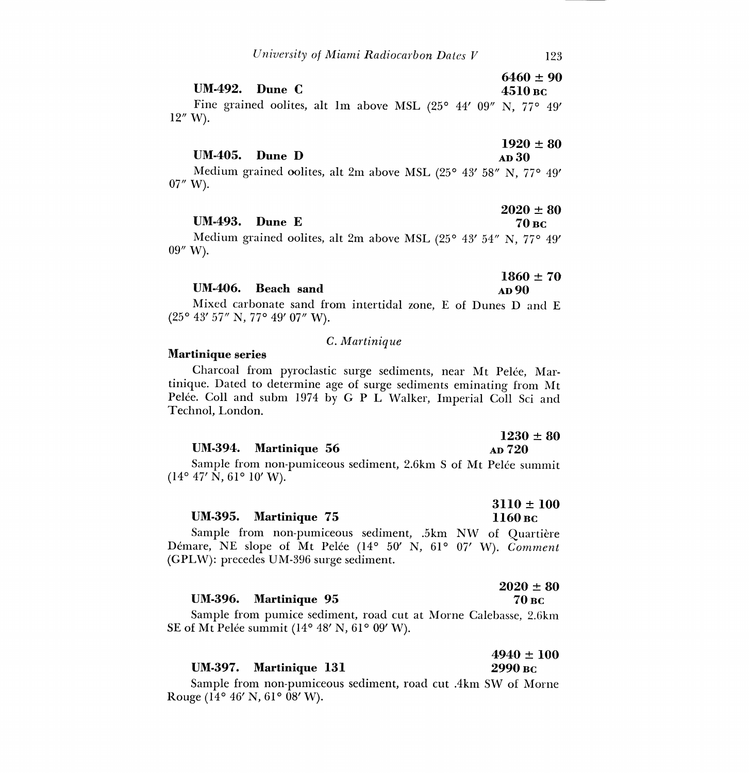$6460 \pm 90$ <br> $4510 \,\mathrm{bc}$ UM-492. Dune  $C$ 

Fine grained oolites, alt lm above MSL (25° 44' 09" N, 77° 49' 12" W)

#### $1920 \pm 80$ <br>AD 30 UM-405. Dune D

Medium grained oolites, alt 2m above MSL (25° 43' 58" N, 77° 49' 07" W).

|                  | $2020 \pm 00$ |
|------------------|---------------|
| $UM-493.$ Dune E | 70 вс         |

Medium grained oolites, alt 2m above MSL (25° 43' 54" N, 77° 49' 09" W).

|                    | $1860 \pm 70$ |
|--------------------|---------------|
| UM-406. Beach sand | <b>AD</b> 90  |

Mixed carbonate sand from intertidal zone, E of Dunes D and E (25° 43' 57" N, 77° 49' 07" W).

#### C. Martinique

#### Martinique series

Charcoal from pyroclastic surge sediments, near Mt Pelée, Martinique. Dated to determine age of surge sediments eminating from Mt Pelée. Coll and subm 1974 by G P L Walker, Imperial Coll Sci and Technol, London.

|                       | 1450 I OV     |
|-----------------------|---------------|
| UM-394. Martinique 56 | <b>AD</b> 720 |

Sample from non-pumiceous sediment, 2.6km S of Mt Pelée summit  $(14^{\circ}$  47' N, 61° 10' W).

|                       | $3110 \pm 100$ |
|-----------------------|----------------|
| UM-395. Martinique 75 | 1160 вс        |

Sample from non-pumiceous sediment, .5km NW of Quartière Démare, NE slope of Mt Pelée (14° 50' N, 61° 07' W). Comment (GPLW): precedes UM-396 surge sediment.

|                       | $2020 \pm 80$ |
|-----------------------|---------------|
| UM-396. Martinique 95 | 70 вс         |

Sample from pumice sediment, road cut at Morne Calebasse, 2.6km SE of Mt Pelée summit (14° 48' N, 61° 09' W).

|                        | $4940 \pm 100$ |
|------------------------|----------------|
| UM-397. Martinique 131 | 2990 вс        |

Sample from non-pumiceous sediment, road cut .4km SW of Morne Rouge (14° 46' N, 61° 08' W).

 $9090 + 90$ 

 $1090 + 80$ 

3110 ± 1000 ± 1000 ± 1000 ± 1000 ± 1000 ± 1000 ± 1000 ± 1000 ± 1000 ± 1000 ± 1000 ± 1000 ± 1000 ± 1000 ± 1000 ± 1000 ± 1000 ± 1000 ± 1000 ± 1000 ± 1000 ± 1000 ± 1000 ± 1000 ± 1000 ± 1000 ± 1000 ± 1000 ± 1000 ± 1000 ± 1000